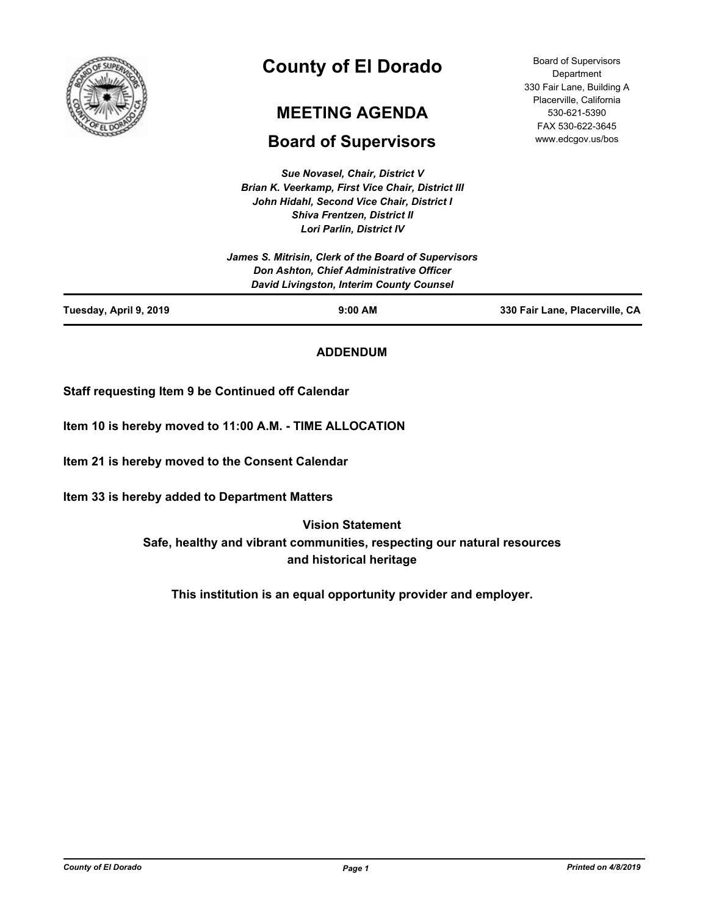

# **County of El Dorado**

## **MEETING AGENDA**

## **Board of Supervisors**

*Sue Novasel, Chair, District V Brian K. Veerkamp, First Vice Chair, District III John Hidahl, Second Vice Chair, District I Shiva Frentzen, District II Lori Parlin, District IV*

|                        | James S. Mitrisin, Clerk of the Board of Supervisors<br><b>Don Ashton, Chief Administrative Officer</b><br><b>David Livingston, Interim County Counsel</b> |                                |
|------------------------|------------------------------------------------------------------------------------------------------------------------------------------------------------|--------------------------------|
| Tuesday, April 9, 2019 | $9:00$ AM                                                                                                                                                  | 330 Fair Lane, Placerville, CA |

**ADDENDUM**

**Staff requesting Item 9 be Continued off Calendar**

**Item 10 is hereby moved to 11:00 A.M. - TIME ALLOCATION**

**Item 21 is hereby moved to the Consent Calendar**

**Item 33 is hereby added to Department Matters**

**Vision Statement Safe, healthy and vibrant communities, respecting our natural resources and historical heritage**

**This institution is an equal opportunity provider and employer.**

*County of El Dorado Page 1 Printed on 4/8/2019*

Board of Supervisors **Department** 330 Fair Lane, Building A Placerville, California 530-621-5390 FAX 530-622-3645 www.edcgov.us/bos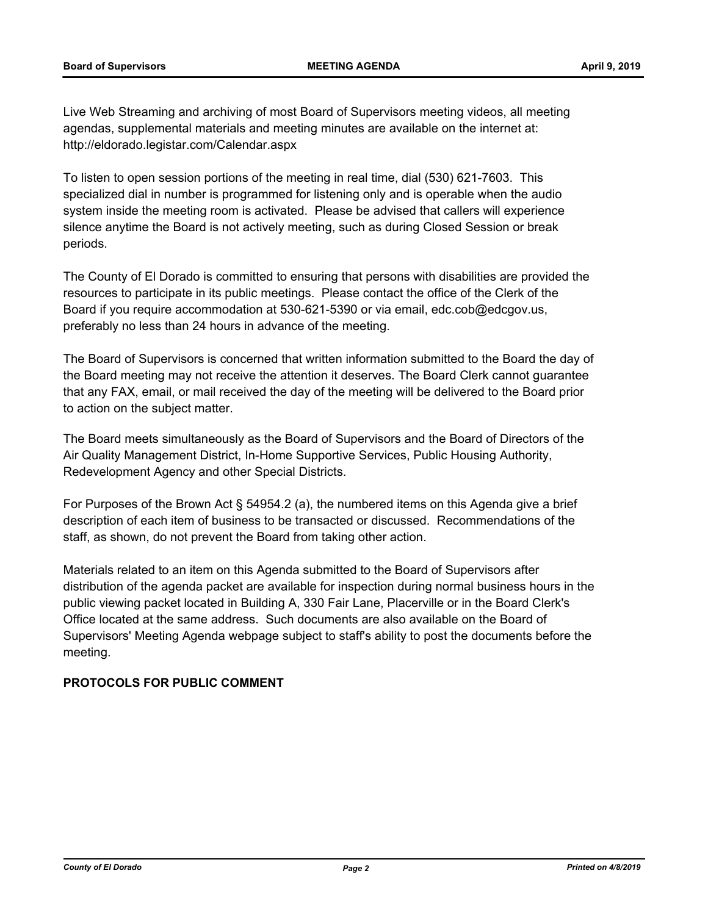Live Web Streaming and archiving of most Board of Supervisors meeting videos, all meeting agendas, supplemental materials and meeting minutes are available on the internet at: http://eldorado.legistar.com/Calendar.aspx

To listen to open session portions of the meeting in real time, dial (530) 621-7603. This specialized dial in number is programmed for listening only and is operable when the audio system inside the meeting room is activated. Please be advised that callers will experience silence anytime the Board is not actively meeting, such as during Closed Session or break periods.

The County of El Dorado is committed to ensuring that persons with disabilities are provided the resources to participate in its public meetings. Please contact the office of the Clerk of the Board if you require accommodation at 530-621-5390 or via email, edc.cob@edcgov.us, preferably no less than 24 hours in advance of the meeting.

The Board of Supervisors is concerned that written information submitted to the Board the day of the Board meeting may not receive the attention it deserves. The Board Clerk cannot guarantee that any FAX, email, or mail received the day of the meeting will be delivered to the Board prior to action on the subject matter.

The Board meets simultaneously as the Board of Supervisors and the Board of Directors of the Air Quality Management District, In-Home Supportive Services, Public Housing Authority, Redevelopment Agency and other Special Districts.

For Purposes of the Brown Act § 54954.2 (a), the numbered items on this Agenda give a brief description of each item of business to be transacted or discussed. Recommendations of the staff, as shown, do not prevent the Board from taking other action.

Materials related to an item on this Agenda submitted to the Board of Supervisors after distribution of the agenda packet are available for inspection during normal business hours in the public viewing packet located in Building A, 330 Fair Lane, Placerville or in the Board Clerk's Office located at the same address. Such documents are also available on the Board of Supervisors' Meeting Agenda webpage subject to staff's ability to post the documents before the meeting.

## **PROTOCOLS FOR PUBLIC COMMENT**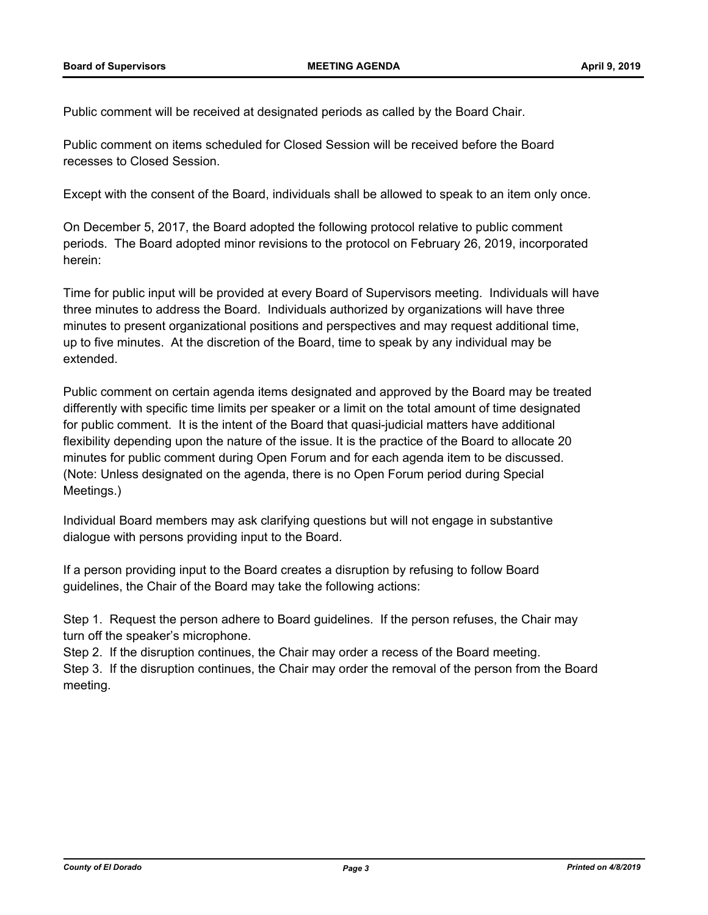Public comment will be received at designated periods as called by the Board Chair.

Public comment on items scheduled for Closed Session will be received before the Board recesses to Closed Session.

Except with the consent of the Board, individuals shall be allowed to speak to an item only once.

On December 5, 2017, the Board adopted the following protocol relative to public comment periods. The Board adopted minor revisions to the protocol on February 26, 2019, incorporated herein:

Time for public input will be provided at every Board of Supervisors meeting. Individuals will have three minutes to address the Board. Individuals authorized by organizations will have three minutes to present organizational positions and perspectives and may request additional time, up to five minutes. At the discretion of the Board, time to speak by any individual may be extended.

Public comment on certain agenda items designated and approved by the Board may be treated differently with specific time limits per speaker or a limit on the total amount of time designated for public comment. It is the intent of the Board that quasi-judicial matters have additional flexibility depending upon the nature of the issue. It is the practice of the Board to allocate 20 minutes for public comment during Open Forum and for each agenda item to be discussed. (Note: Unless designated on the agenda, there is no Open Forum period during Special Meetings.)

Individual Board members may ask clarifying questions but will not engage in substantive dialogue with persons providing input to the Board.

If a person providing input to the Board creates a disruption by refusing to follow Board guidelines, the Chair of the Board may take the following actions:

Step 1. Request the person adhere to Board guidelines. If the person refuses, the Chair may turn off the speaker's microphone.

Step 2. If the disruption continues, the Chair may order a recess of the Board meeting. Step 3. If the disruption continues, the Chair may order the removal of the person from the Board meeting.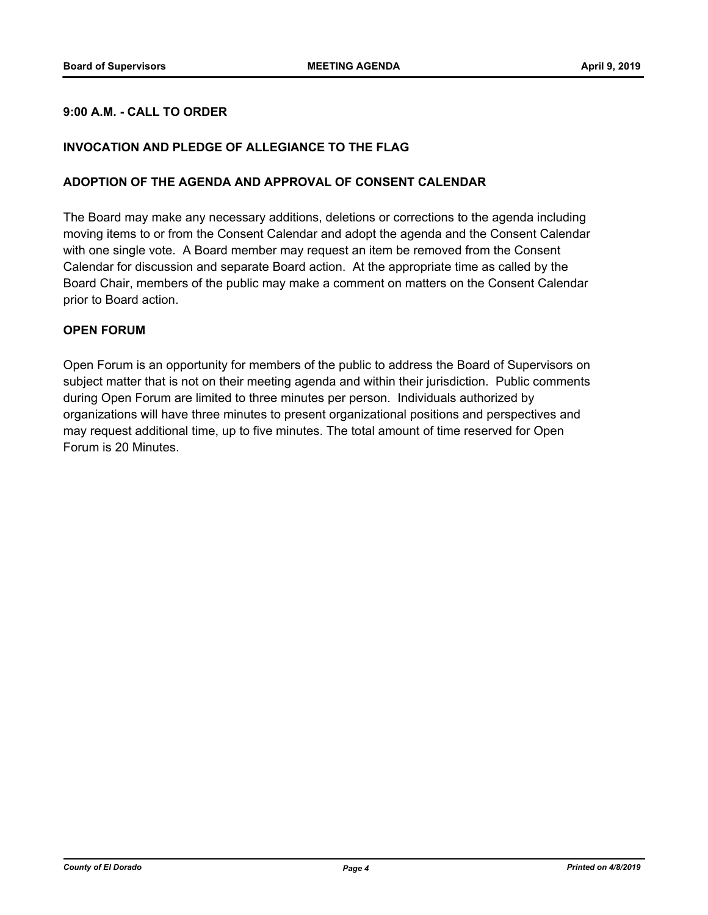## **9:00 A.M. - CALL TO ORDER**

## **INVOCATION AND PLEDGE OF ALLEGIANCE TO THE FLAG**

## **ADOPTION OF THE AGENDA AND APPROVAL OF CONSENT CALENDAR**

The Board may make any necessary additions, deletions or corrections to the agenda including moving items to or from the Consent Calendar and adopt the agenda and the Consent Calendar with one single vote. A Board member may request an item be removed from the Consent Calendar for discussion and separate Board action. At the appropriate time as called by the Board Chair, members of the public may make a comment on matters on the Consent Calendar prior to Board action.

## **OPEN FORUM**

Open Forum is an opportunity for members of the public to address the Board of Supervisors on subject matter that is not on their meeting agenda and within their jurisdiction. Public comments during Open Forum are limited to three minutes per person. Individuals authorized by organizations will have three minutes to present organizational positions and perspectives and may request additional time, up to five minutes. The total amount of time reserved for Open Forum is 20 Minutes.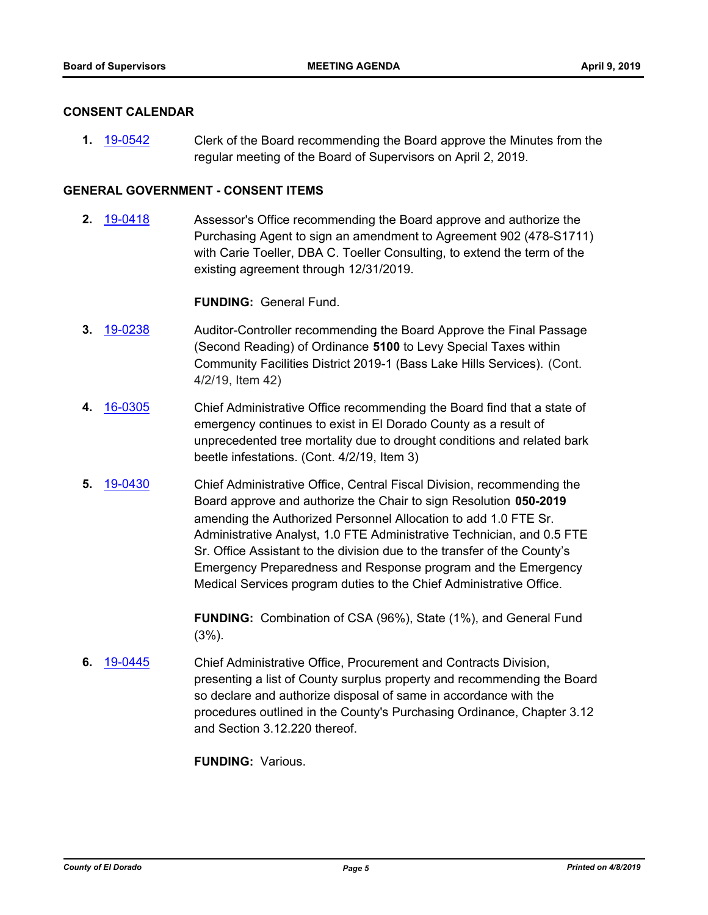## **CONSENT CALENDAR**

**1.** [19-0542](http://eldorado.legistar.com/gateway.aspx?m=l&id=/matter.aspx?key=25863) Clerk of the Board recommending the Board approve the Minutes from the regular meeting of the Board of Supervisors on April 2, 2019.

## **GENERAL GOVERNMENT - CONSENT ITEMS**

**2.** [19-0418](http://eldorado.legistar.com/gateway.aspx?m=l&id=/matter.aspx?key=25739) Assessor's Office recommending the Board approve and authorize the Purchasing Agent to sign an amendment to Agreement 902 (478-S1711) with Carie Toeller, DBA C. Toeller Consulting, to extend the term of the existing agreement through 12/31/2019.

## **FUNDING:** General Fund.

- **3.** [19-0238](http://eldorado.legistar.com/gateway.aspx?m=l&id=/matter.aspx?key=25559) Auditor-Controller recommending the Board Approve the Final Passage (Second Reading) of Ordinance **5100** to Levy Special Taxes within Community Facilities District 2019-1 (Bass Lake Hills Services). (Cont. 4/2/19, Item 42)
- **4.** [16-0305](http://eldorado.legistar.com/gateway.aspx?m=l&id=/matter.aspx?key=20961) Chief Administrative Office recommending the Board find that a state of emergency continues to exist in El Dorado County as a result of unprecedented tree mortality due to drought conditions and related bark beetle infestations. (Cont. 4/2/19, Item 3)
- **5.** [19-0430](http://eldorado.legistar.com/gateway.aspx?m=l&id=/matter.aspx?key=25751) Chief Administrative Office, Central Fiscal Division, recommending the Board approve and authorize the Chair to sign Resolution **050-2019** amending the Authorized Personnel Allocation to add 1.0 FTE Sr. Administrative Analyst, 1.0 FTE Administrative Technician, and 0.5 FTE Sr. Office Assistant to the division due to the transfer of the County's Emergency Preparedness and Response program and the Emergency Medical Services program duties to the Chief Administrative Office.

**FUNDING:** Combination of CSA (96%), State (1%), and General Fund (3%).

**6.** [19-0445](http://eldorado.legistar.com/gateway.aspx?m=l&id=/matter.aspx?key=25766) Chief Administrative Office, Procurement and Contracts Division, presenting a list of County surplus property and recommending the Board so declare and authorize disposal of same in accordance with the procedures outlined in the County's Purchasing Ordinance, Chapter 3.12 and Section 3.12.220 thereof.

**FUNDING:** Various.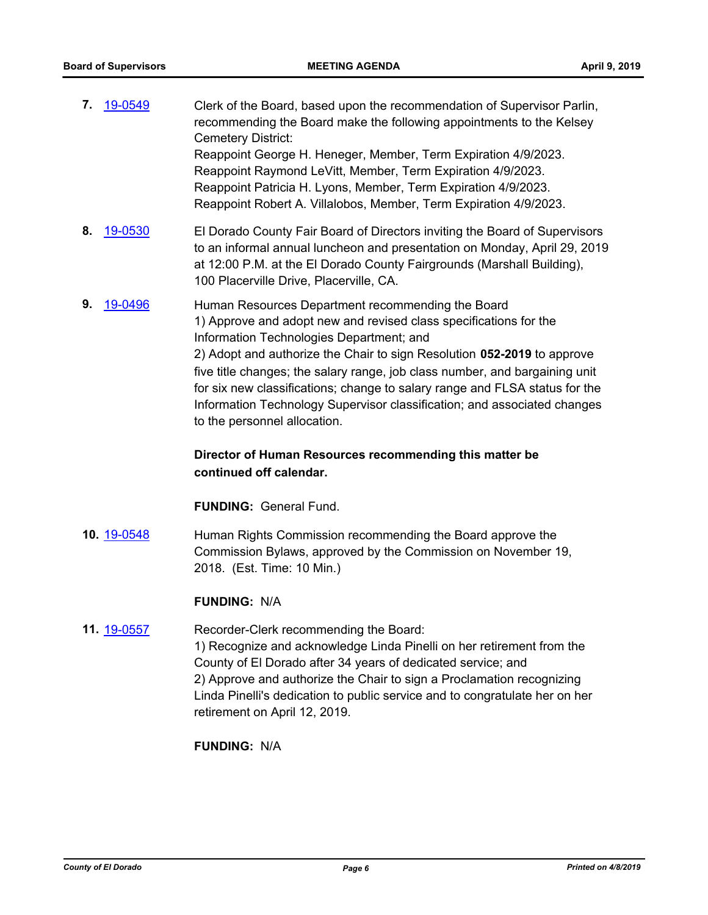| 7. | 19-0549 | Clerk of the Board, based upon the recommendation of Supervisor Parlin,<br>recommending the Board make the following appointments to the Kelsey<br>Cemetery District:                                                                                                                                                       |
|----|---------|-----------------------------------------------------------------------------------------------------------------------------------------------------------------------------------------------------------------------------------------------------------------------------------------------------------------------------|
|    |         | Reappoint George H. Heneger, Member, Term Expiration 4/9/2023.                                                                                                                                                                                                                                                              |
|    |         | Reappoint Raymond LeVitt, Member, Term Expiration 4/9/2023.                                                                                                                                                                                                                                                                 |
|    |         | Reappoint Patricia H. Lyons, Member, Term Expiration 4/9/2023.                                                                                                                                                                                                                                                              |
|    |         | Reappoint Robert A. Villalobos, Member, Term Expiration 4/9/2023.                                                                                                                                                                                                                                                           |
| 8. | 19-0530 | El Dorado County Fair Board of Directors inviting the Board of Supervisors<br>to an informal annual luncheon and presentation on Monday, April 29, 2019<br>at 12:00 P.M. at the El Dorado County Fairgrounds (Marshall Building),<br>100 Placerville Drive, Placerville, CA.                                                |
| 9. | 19-0496 | Human Resources Department recommending the Board<br>1) Approve and adopt new and revised class specifications for the<br>Information Technologies Department; and<br>2) Adopt and authorize the Chair to sign Resolution 052-2019 to approve<br>five title ebenges: the soleny renge job elege number, and bergeining unit |

five title changes; the salary range, job class number, and bargaining unit for six new classifications; change to salary range and FLSA status for the Information Technology Supervisor classification; and associated changes to the personnel allocation.

## **Director of Human Resources recommending this matter be continued off calendar.**

**FUNDING:** General Fund.

**10.** [19-0548](http://eldorado.legistar.com/gateway.aspx?m=l&id=/matter.aspx?key=25869) Human Rights Commission recommending the Board approve the Commission Bylaws, approved by the Commission on November 19, 2018. (Est. Time: 10 Min.)

## **FUNDING:** N/A

## **11.** [19-0557](http://eldorado.legistar.com/gateway.aspx?m=l&id=/matter.aspx?key=25878) Recorder-Clerk recommending the Board: 1) Recognize and acknowledge Linda Pinelli on her retirement from the County of El Dorado after 34 years of dedicated service; and 2) Approve and authorize the Chair to sign a Proclamation recognizing Linda Pinelli's dedication to public service and to congratulate her on her retirement on April 12, 2019.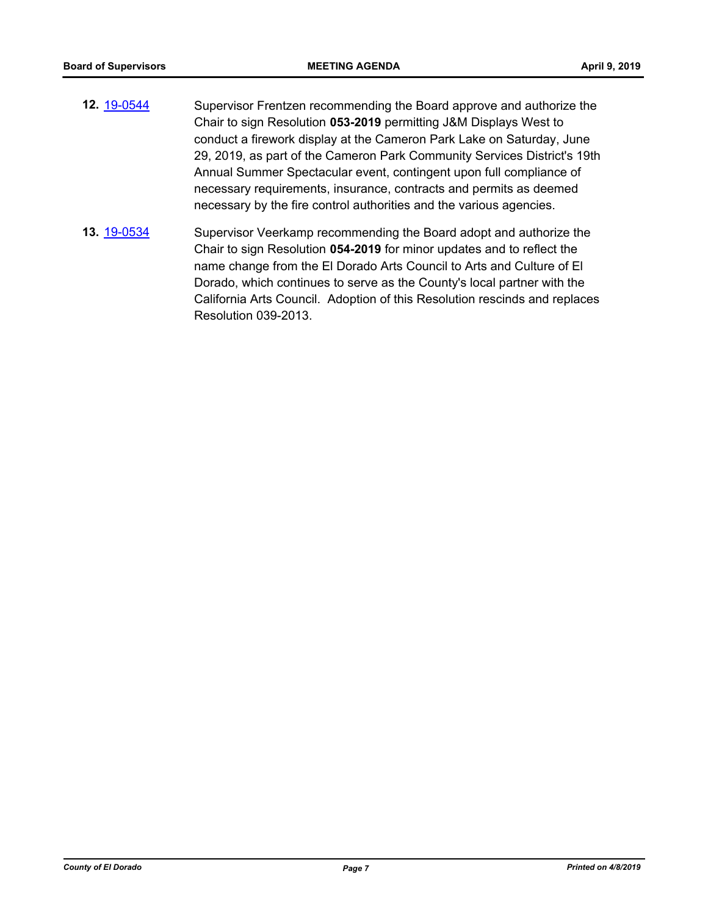- **12.** [19-0544](http://eldorado.legistar.com/gateway.aspx?m=l&id=/matter.aspx?key=25865) Supervisor Frentzen recommending the Board approve and authorize the Chair to sign Resolution **053-2019** permitting J&M Displays West to conduct a firework display at the Cameron Park Lake on Saturday, June 29, 2019, as part of the Cameron Park Community Services District's 19th Annual Summer Spectacular event, contingent upon full compliance of necessary requirements, insurance, contracts and permits as deemed necessary by the fire control authorities and the various agencies.
- **13.** [19-0534](http://eldorado.legistar.com/gateway.aspx?m=l&id=/matter.aspx?key=25855) Supervisor Veerkamp recommending the Board adopt and authorize the Chair to sign Resolution **054-2019** for minor updates and to reflect the name change from the El Dorado Arts Council to Arts and Culture of El Dorado, which continues to serve as the County's local partner with the California Arts Council. Adoption of this Resolution rescinds and replaces Resolution 039-2013.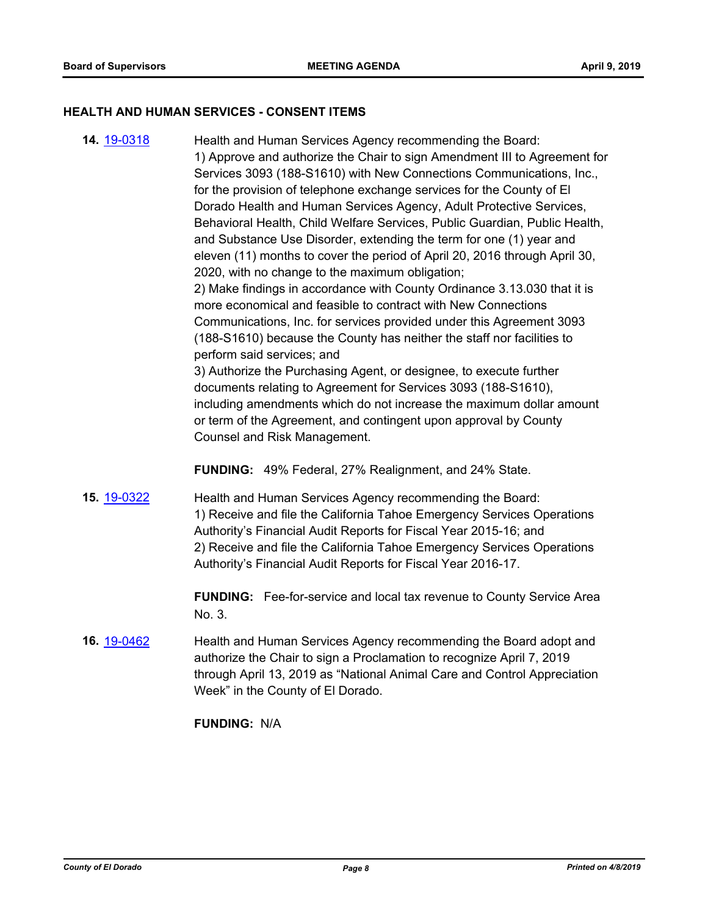#### **HEALTH AND HUMAN SERVICES - CONSENT ITEMS**

**14.** [19-0318](http://eldorado.legistar.com/gateway.aspx?m=l&id=/matter.aspx?key=25639) Health and Human Services Agency recommending the Board: 1) Approve and authorize the Chair to sign Amendment III to Agreement for Services 3093 (188-S1610) with New Connections Communications, Inc., for the provision of telephone exchange services for the County of El Dorado Health and Human Services Agency, Adult Protective Services, Behavioral Health, Child Welfare Services, Public Guardian, Public Health, and Substance Use Disorder, extending the term for one (1) year and eleven (11) months to cover the period of April 20, 2016 through April 30, 2020, with no change to the maximum obligation; 2) Make findings in accordance with County Ordinance 3.13.030 that it is more economical and feasible to contract with New Connections Communications, Inc. for services provided under this Agreement 3093 (188-S1610) because the County has neither the staff nor facilities to perform said services; and 3) Authorize the Purchasing Agent, or designee, to execute further documents relating to Agreement for Services 3093 (188-S1610), including amendments which do not increase the maximum dollar amount or term of the Agreement, and contingent upon approval by County Counsel and Risk Management.

**FUNDING:** 49% Federal, 27% Realignment, and 24% State.

**15.** [19-0322](http://eldorado.legistar.com/gateway.aspx?m=l&id=/matter.aspx?key=25643) Health and Human Services Agency recommending the Board: 1) Receive and file the California Tahoe Emergency Services Operations Authority's Financial Audit Reports for Fiscal Year 2015-16; and 2) Receive and file the California Tahoe Emergency Services Operations Authority's Financial Audit Reports for Fiscal Year 2016-17.

> **FUNDING:** Fee-for-service and local tax revenue to County Service Area No. 3.

**16.** [19-0462](http://eldorado.legistar.com/gateway.aspx?m=l&id=/matter.aspx?key=25783) Health and Human Services Agency recommending the Board adopt and authorize the Chair to sign a Proclamation to recognize April 7, 2019 through April 13, 2019 as "National Animal Care and Control Appreciation Week" in the County of El Dorado.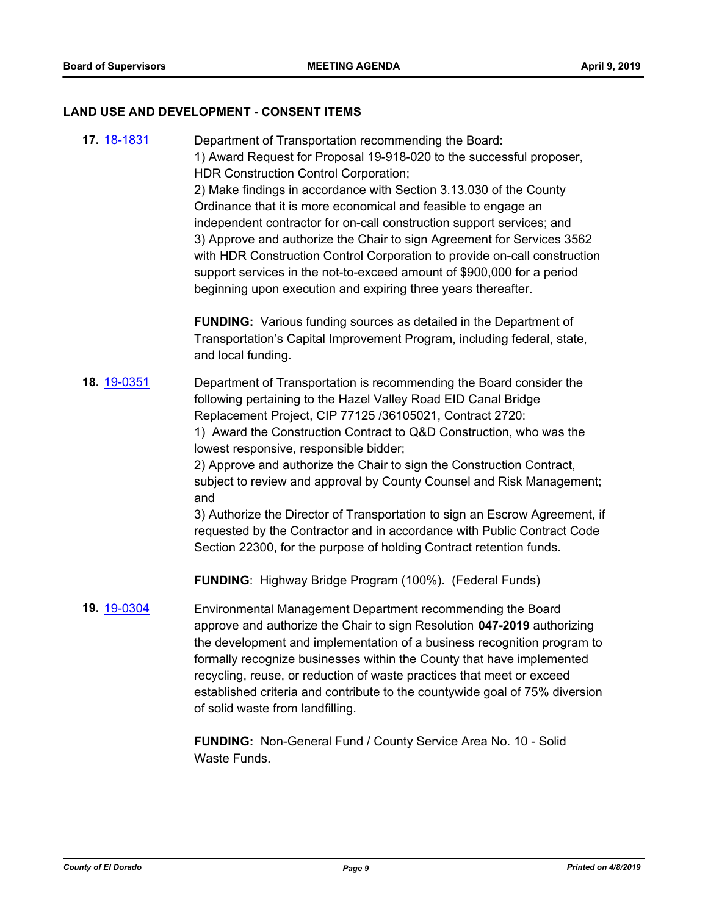## **LAND USE AND DEVELOPMENT - CONSENT ITEMS**

| <b>17.</b> 18-1831 | Department of Transportation recommending the Board:<br>1) Award Request for Proposal 19-918-020 to the successful proposer,<br>HDR Construction Control Corporation;<br>2) Make findings in accordance with Section 3.13.030 of the County<br>Ordinance that it is more economical and feasible to engage an<br>independent contractor for on-call construction support services; and<br>3) Approve and authorize the Chair to sign Agreement for Services 3562<br>with HDR Construction Control Corporation to provide on-call construction<br>support services in the not-to-exceed amount of \$900,000 for a period<br>beginning upon execution and expiring three years thereafter.                     |
|--------------------|--------------------------------------------------------------------------------------------------------------------------------------------------------------------------------------------------------------------------------------------------------------------------------------------------------------------------------------------------------------------------------------------------------------------------------------------------------------------------------------------------------------------------------------------------------------------------------------------------------------------------------------------------------------------------------------------------------------|
|                    | <b>FUNDING:</b> Various funding sources as detailed in the Department of<br>Transportation's Capital Improvement Program, including federal, state,<br>and local funding.                                                                                                                                                                                                                                                                                                                                                                                                                                                                                                                                    |
| 18. 19-0351        | Department of Transportation is recommending the Board consider the<br>following pertaining to the Hazel Valley Road EID Canal Bridge<br>Replacement Project, CIP 77125 /36105021, Contract 2720:<br>1) Award the Construction Contract to Q&D Construction, who was the<br>lowest responsive, responsible bidder;<br>2) Approve and authorize the Chair to sign the Construction Contract,<br>subject to review and approval by County Counsel and Risk Management;<br>and<br>3) Authorize the Director of Transportation to sign an Escrow Agreement, if<br>requested by the Contractor and in accordance with Public Contract Code<br>Section 22300, for the purpose of holding Contract retention funds. |
|                    | <b>FUNDING:</b> Highway Bridge Program (100%). (Federal Funds)                                                                                                                                                                                                                                                                                                                                                                                                                                                                                                                                                                                                                                               |
| 19. 19-0304        | Environmental Management Department recommending the Board<br>approve and authorize the Chair to sign Resolution 047-2019 authorizing<br>the development and implementation of a business recognition program to<br>formally recognize businesses within the County that have implemented<br>recycling, reuse, or reduction of waste practices that meet or exceed<br>established criteria and contribute to the countywide goal of 75% diversion<br>of solid waste from landfilling.                                                                                                                                                                                                                        |
|                    | FUNDING: Non-General Fund / County Service Area No. 10 - Solid                                                                                                                                                                                                                                                                                                                                                                                                                                                                                                                                                                                                                                               |

Waste Funds.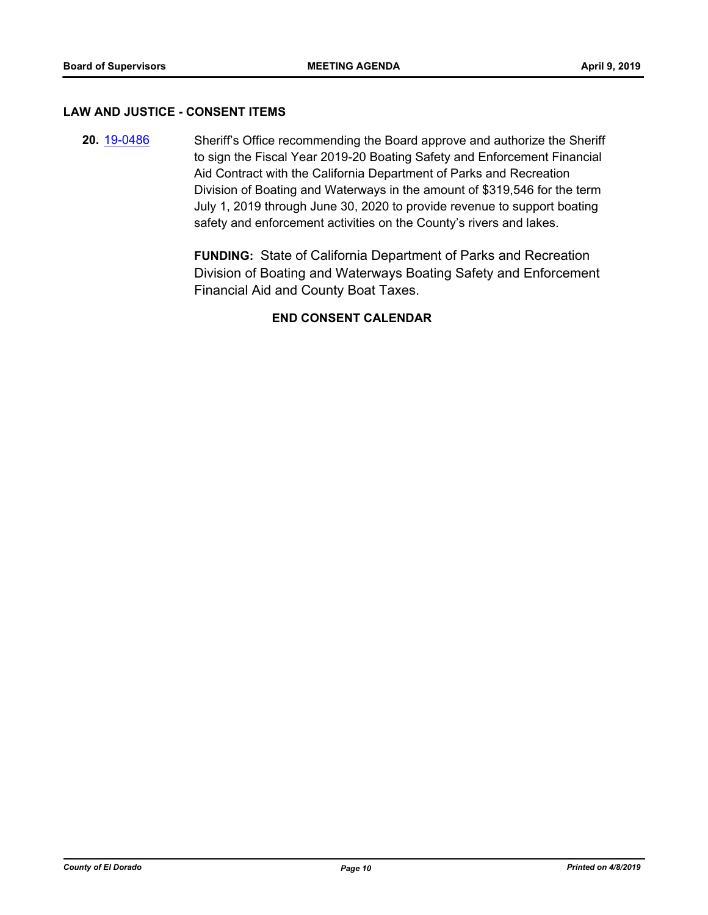#### **LAW AND JUSTICE - CONSENT ITEMS**

**20.** [19-0486](http://eldorado.legistar.com/gateway.aspx?m=l&id=/matter.aspx?key=25807) Sheriff's Office recommending the Board approve and authorize the Sheriff to sign the Fiscal Year 2019-20 Boating Safety and Enforcement Financial Aid Contract with the California Department of Parks and Recreation Division of Boating and Waterways in the amount of \$319,546 for the term July 1, 2019 through June 30, 2020 to provide revenue to support boating safety and enforcement activities on the County's rivers and lakes.

> **FUNDING:** State of California Department of Parks and Recreation Division of Boating and Waterways Boating Safety and Enforcement Financial Aid and County Boat Taxes.

## **END CONSENT CALENDAR**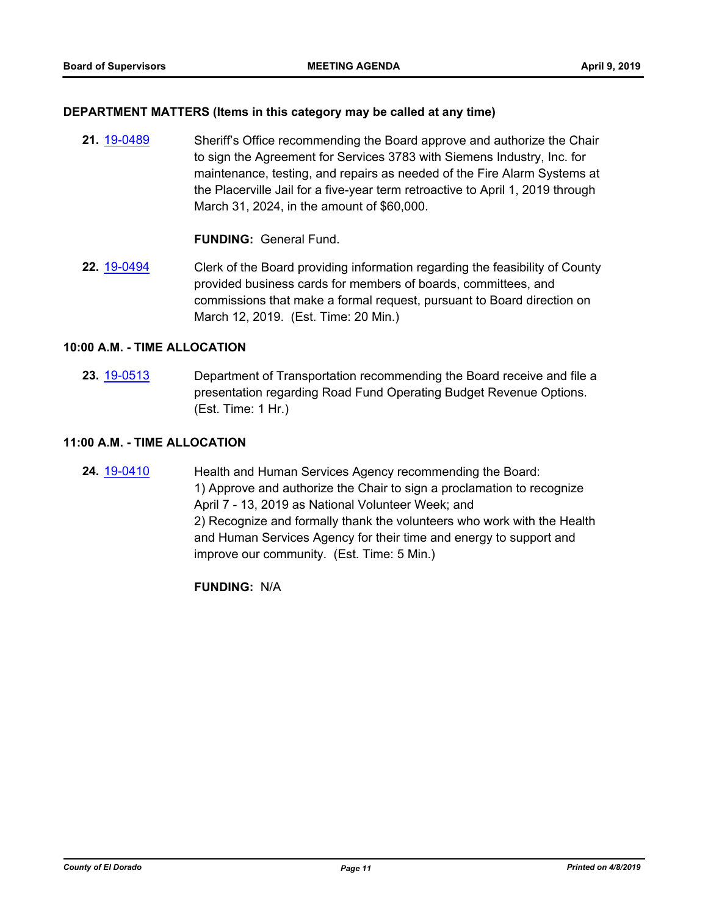## **DEPARTMENT MATTERS (Items in this category may be called at any time)**

**21.** [19-0489](http://eldorado.legistar.com/gateway.aspx?m=l&id=/matter.aspx?key=25810) Sheriff's Office recommending the Board approve and authorize the Chair to sign the Agreement for Services 3783 with Siemens Industry, Inc. for maintenance, testing, and repairs as needed of the Fire Alarm Systems at the Placerville Jail for a five-year term retroactive to April 1, 2019 through March 31, 2024, in the amount of \$60,000.

## **FUNDING:** General Fund.

**22.** [19-0494](http://eldorado.legistar.com/gateway.aspx?m=l&id=/matter.aspx?key=25815) Clerk of the Board providing information regarding the feasibility of County provided business cards for members of boards, committees, and commissions that make a formal request, pursuant to Board direction on March 12, 2019. (Est. Time: 20 Min.)

## **10:00 A.M. - TIME ALLOCATION**

**23.** [19-0513](http://eldorado.legistar.com/gateway.aspx?m=l&id=/matter.aspx?key=25834) Department of Transportation recommending the Board receive and file a presentation regarding Road Fund Operating Budget Revenue Options. (Est. Time: 1 Hr.)

## **11:00 A.M. - TIME ALLOCATION**

**24.** [19-0410](http://eldorado.legistar.com/gateway.aspx?m=l&id=/matter.aspx?key=25731) Health and Human Services Agency recommending the Board: 1) Approve and authorize the Chair to sign a proclamation to recognize April 7 - 13, 2019 as National Volunteer Week; and 2) Recognize and formally thank the volunteers who work with the Health and Human Services Agency for their time and energy to support and improve our community. (Est. Time: 5 Min.)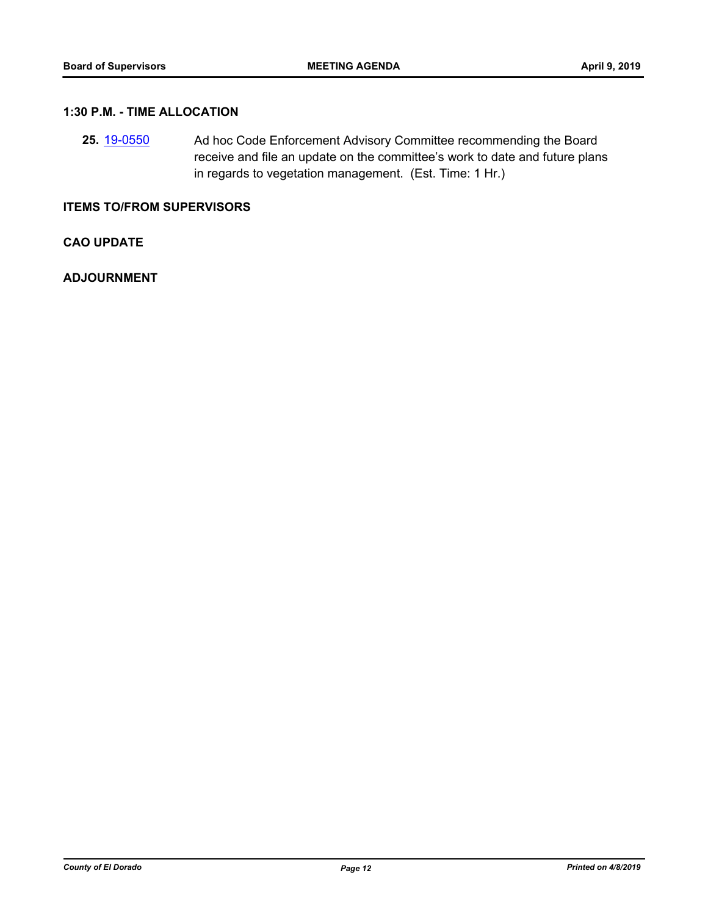## **1:30 P.M. - TIME ALLOCATION**

**25.** [19-0550](http://eldorado.legistar.com/gateway.aspx?m=l&id=/matter.aspx?key=25871) Ad hoc Code Enforcement Advisory Committee recommending the Board receive and file an update on the committee's work to date and future plans in regards to vegetation management. (Est. Time: 1 Hr.)

## **ITEMS TO/FROM SUPERVISORS**

**CAO UPDATE**

**ADJOURNMENT**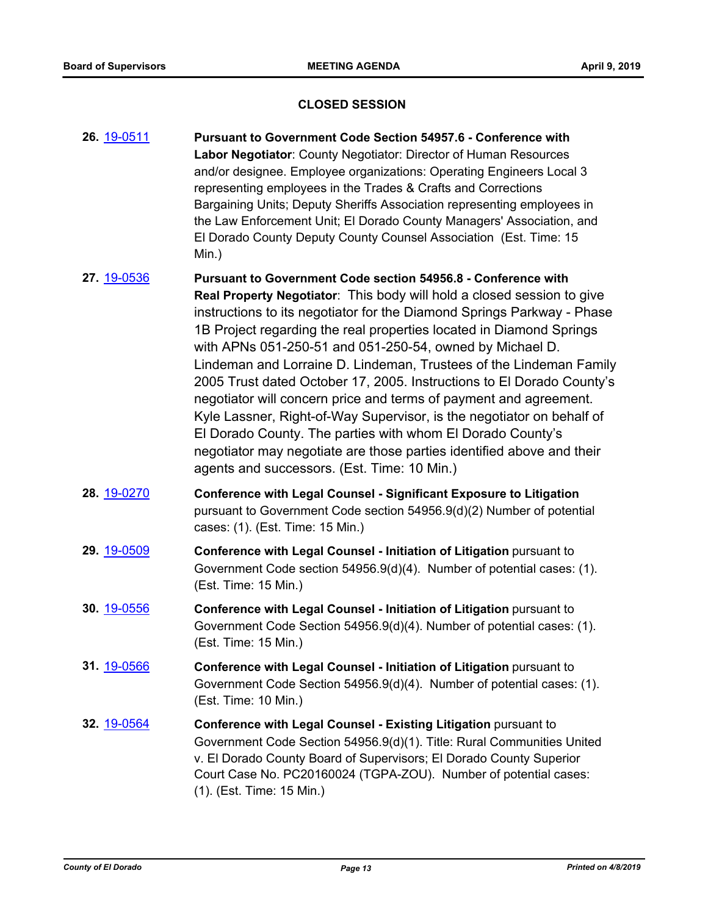## **CLOSED SESSION**

- **26.** [19-0511](http://eldorado.legistar.com/gateway.aspx?m=l&id=/matter.aspx?key=25832) **Pursuant to Government Code Section 54957.6 Conference with Labor Negotiator**: County Negotiator: Director of Human Resources and/or designee. Employee organizations: Operating Engineers Local 3 representing employees in the Trades & Crafts and Corrections Bargaining Units; Deputy Sheriffs Association representing employees in the Law Enforcement Unit; El Dorado County Managers' Association, and El Dorado County Deputy County Counsel Association (Est. Time: 15 Min.)
- **27.** [19-0536](http://eldorado.legistar.com/gateway.aspx?m=l&id=/matter.aspx?key=25857) **Pursuant to Government Code section 54956.8 Conference with Real Property Negotiator**: This body will hold a closed session to give instructions to its negotiator for the Diamond Springs Parkway - Phase 1B Project regarding the real properties located in Diamond Springs with APNs 051-250-51 and 051-250-54, owned by Michael D. Lindeman and Lorraine D. Lindeman, Trustees of the Lindeman Family 2005 Trust dated October 17, 2005. Instructions to El Dorado County's negotiator will concern price and terms of payment and agreement. Kyle Lassner, Right-of-Way Supervisor, is the negotiator on behalf of El Dorado County. The parties with whom El Dorado County's negotiator may negotiate are those parties identified above and their agents and successors. (Est. Time: 10 Min.)
- **28.** [19-0270](http://eldorado.legistar.com/gateway.aspx?m=l&id=/matter.aspx?key=25592) **Conference with Legal Counsel Significant Exposure to Litigation** pursuant to Government Code section 54956.9(d)(2) Number of potential cases: (1). (Est. Time: 15 Min.)
- **29.** [19-0509](http://eldorado.legistar.com/gateway.aspx?m=l&id=/matter.aspx?key=25830) **Conference with Legal Counsel Initiation of Litigation** pursuant to Government Code section 54956.9(d)(4). Number of potential cases: (1). (Est. Time: 15 Min.)
- **30.** [19-0556](http://eldorado.legistar.com/gateway.aspx?m=l&id=/matter.aspx?key=25877) **Conference with Legal Counsel Initiation of Litigation** pursuant to Government Code Section 54956.9(d)(4). Number of potential cases: (1). (Est. Time: 15 Min.)
- **31.** [19-0566](http://eldorado.legistar.com/gateway.aspx?m=l&id=/matter.aspx?key=25887) **Conference with Legal Counsel Initiation of Litigation** pursuant to Government Code Section 54956.9(d)(4). Number of potential cases: (1). (Est. Time: 10 Min.)
- **32.** [19-0564](http://eldorado.legistar.com/gateway.aspx?m=l&id=/matter.aspx?key=25885) **Conference with Legal Counsel - Existing Litigation** pursuant to Government Code Section 54956.9(d)(1). Title: Rural Communities United v. El Dorado County Board of Supervisors; El Dorado County Superior Court Case No. PC20160024 (TGPA-ZOU). Number of potential cases: (1). (Est. Time: 15 Min.)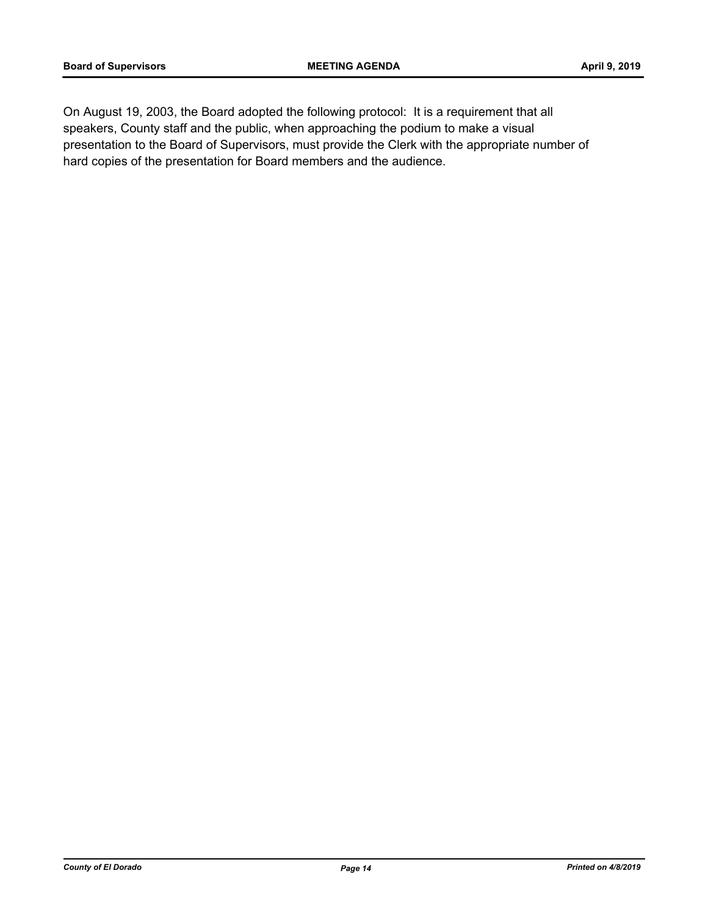On August 19, 2003, the Board adopted the following protocol: It is a requirement that all speakers, County staff and the public, when approaching the podium to make a visual presentation to the Board of Supervisors, must provide the Clerk with the appropriate number of hard copies of the presentation for Board members and the audience.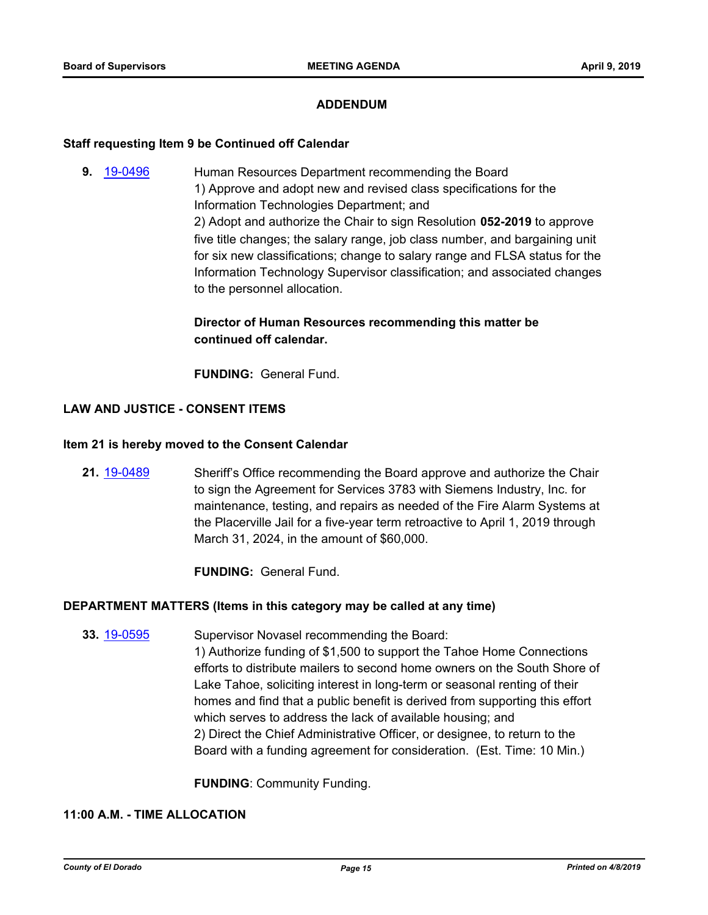## **ADDENDUM**

#### **Staff requesting Item 9 be Continued off Calendar**

**9.** [19-0496](http://eldorado.legistar.com/gateway.aspx?m=l&id=/matter.aspx?key=25817) Human Resources Department recommending the Board 1) Approve and adopt new and revised class specifications for the Information Technologies Department; and 2) Adopt and authorize the Chair to sign Resolution **052-2019** to approve five title changes; the salary range, job class number, and bargaining unit for six new classifications; change to salary range and FLSA status for the Information Technology Supervisor classification; and associated changes to the personnel allocation.

## **Director of Human Resources recommending this matter be continued off calendar.**

**FUNDING:** General Fund.

## **LAW AND JUSTICE - CONSENT ITEMS**

#### **Item 21 is hereby moved to the Consent Calendar**

**21.** [19-0489](http://eldorado.legistar.com/gateway.aspx?m=l&id=/matter.aspx?key=25810) Sheriff's Office recommending the Board approve and authorize the Chair to sign the Agreement for Services 3783 with Siemens Industry, Inc. for maintenance, testing, and repairs as needed of the Fire Alarm Systems at the Placerville Jail for a five-year term retroactive to April 1, 2019 through March 31, 2024, in the amount of \$60,000.

**FUNDING:** General Fund.

#### **DEPARTMENT MATTERS (Items in this category may be called at any time)**

**33.** [19-0595](http://eldorado.legistar.com/gateway.aspx?m=l&id=/matter.aspx?key=25916) Supervisor Novasel recommending the Board: 1) Authorize funding of \$1,500 to support the Tahoe Home Connections efforts to distribute mailers to second home owners on the South Shore of Lake Tahoe, soliciting interest in long-term or seasonal renting of their homes and find that a public benefit is derived from supporting this effort which serves to address the lack of available housing; and 2) Direct the Chief Administrative Officer, or designee, to return to the Board with a funding agreement for consideration. (Est. Time: 10 Min.)

**FUNDING**: Community Funding.

## **11:00 A.M. - TIME ALLOCATION**